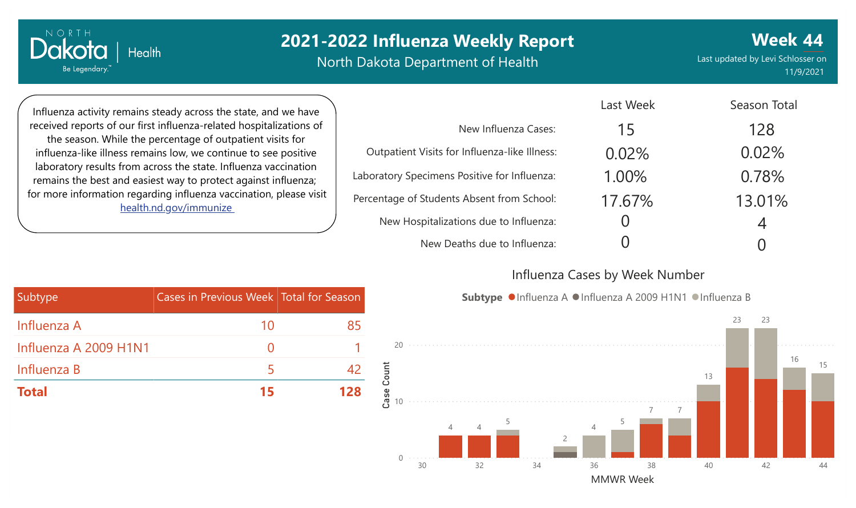North Dakota Department of Health

**Week 44** Last updated by Levi Schlosser on 11/9/2021

Season Total

Influenza activity remains steady across the state, and we have received reports of our first influenza-related hospitalizations of the season. While the percentage of outpatient visits for influenza-like illness remains low, we continue to see positive laboratory results from across the state. Influenza vaccination remains the best and easiest way to protect against influenza; for more information regarding influenza vaccination, please visit [health.nd.gov/immunize](http://health.nd.gov/immunize)

Health

NORTH

Dakota

Be Legendary.

|                                               | Last week | Season Total |
|-----------------------------------------------|-----------|--------------|
| New Influenza Cases:                          | 15        | 128          |
| Outpatient Visits for Influenza-like Illness: | 0.02%     | 0.02%        |
| Laboratory Specimens Positive for Influenza:  | 1.00%     | 0.78%        |
| Percentage of Students Absent from School:    | 17.67%    | 13.01%       |
| New Hospitalizations due to Influenza:        |           | 4            |
| New Deaths due to Influenza:                  |           |              |

#### Influenza Cases by Week Number

Last Week



Subtype <sup>O</sup>Influenza A OInfluenza A 2009 H1N1 OInfluenza B

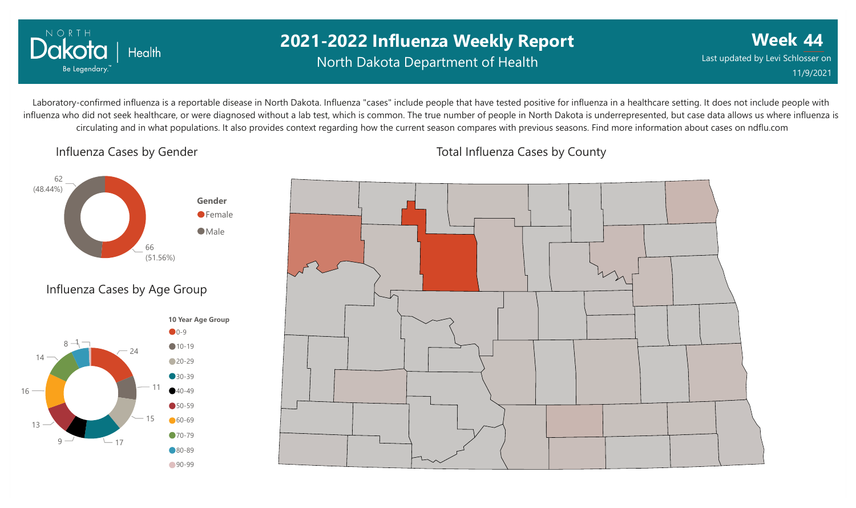

## **2021-2022 Influenza Weekly Report** North Dakota Department of Health

**Week 44** Last updated by Levi Schlosser on 11/9/2021

Laboratory-confirmed influenza is a reportable disease in North Dakota. Influenza "cases" include people that have tested positive for influenza in a healthcare setting. It does not include people with influenza who did not seek healthcare, or were diagnosed without a lab test, which is common. The true number of people in North Dakota is underrepresented, but case data allows us where influenza is circulating and in what populations. It also provides context regarding how the current season compares with previous seasons. Find more information about cases on ndflu.com

#### Influenza Cases by Gender



## Influenza Cases by Age Group





#### Total Influenza Cases by County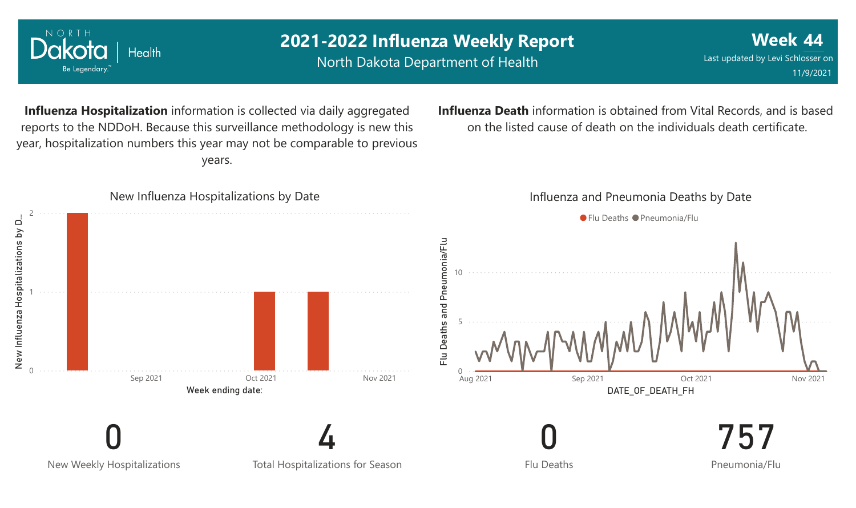

North Dakota Department of Health

Health

NORTH

Dakota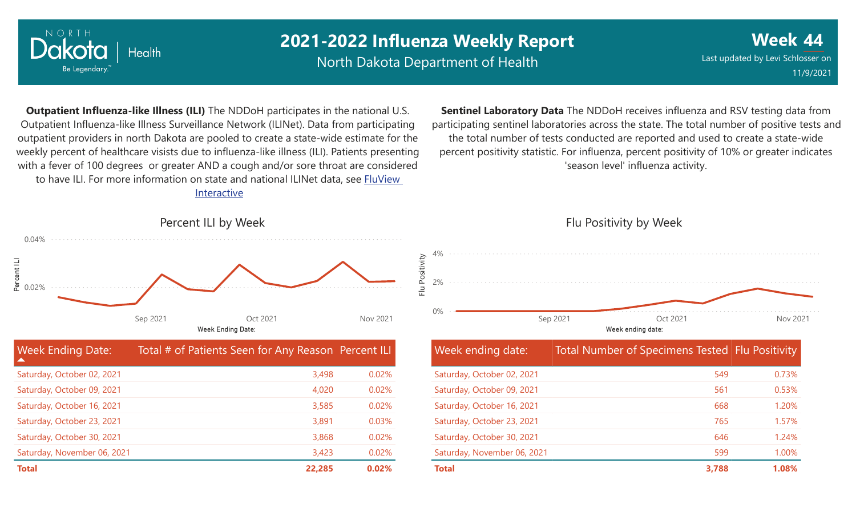

North Dakota Department of Health

**Week 44** Last updated by Levi Schlosser on 11/9/2021

**Outpatient Influenza-like Illness (ILI)** The NDDoH participates in the national U.S. Outpatient Influenza-like Illness Surveillance Network (ILINet). Data from participating outpatient providers in north Dakota are pooled to create a state-wide estimate for the weekly percent of healthcare visists due to influenza-like illness (ILI). Patients presenting with a fever of 100 degrees or greater AND a cough and/or sore throat are considered to have ILI. For more information [on state and national ILINet data, see FluView](http://fluview%20interactive/) Interactive

**Sentinel Laboratory Data** The NDDoH receives influenza and RSV testing data from participating sentinel laboratories across the state. The total number of positive tests and the total number of tests conducted are reported and used to create a state-wide percent positivity statistic. For influenza, percent positivity of 10% or greater indicates 'season level' influenza activity.



| <b>Week Ending Date:</b><br>▲ | Total # of Patients Seen for Any Reason Percent ILI |       |
|-------------------------------|-----------------------------------------------------|-------|
| Saturday, October 02, 2021    | 3,498                                               | 0.02% |
| Saturday, October 09, 2021    | 4,020                                               | 0.02% |
| Saturday, October 16, 2021    | 3,585                                               | 0.02% |
| Saturday, October 23, 2021    | 3,891                                               | 0.03% |
| Saturday, October 30, 2021    | 3,868                                               | 0.02% |
| Saturday, November 06, 2021   | 3,423                                               | 0.02% |
| <b>Total</b>                  | 22,285                                              | 0.02% |

Flu Positivity by Week



| Week ending date:           | Total Number of Specimens Tested Flu Positivity |       |
|-----------------------------|-------------------------------------------------|-------|
| Saturday, October 02, 2021  | 549                                             | 0.73% |
| Saturday, October 09, 2021  | 561                                             | 0.53% |
| Saturday, October 16, 2021  | 668                                             | 1.20% |
| Saturday, October 23, 2021  | 765                                             | 1.57% |
| Saturday, October 30, 2021  | 646                                             | 1.24% |
| Saturday, November 06, 2021 | 599                                             | 1.00% |
| <b>Total</b>                | 3.788                                           | 1.08% |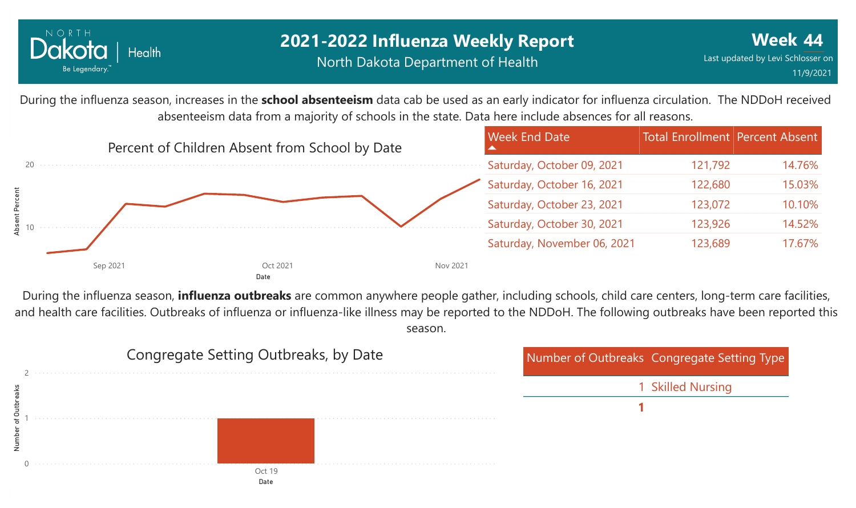

During the influenza season, increases in the **school absenteeism** data cab be used as an early indicator for influenza circulation. The NDDoH received absenteeism data from a majority of schools in the state. Data here include absences for all reasons.



During the influenza season, **influenza outbreaks** are common anywhere people gather, including schools, child care centers, long-term care facilities, and health care facilities. Outbreaks of influenza or influenza-like illness may be reported to the NDDoH. The following outbreaks have been reported this season.

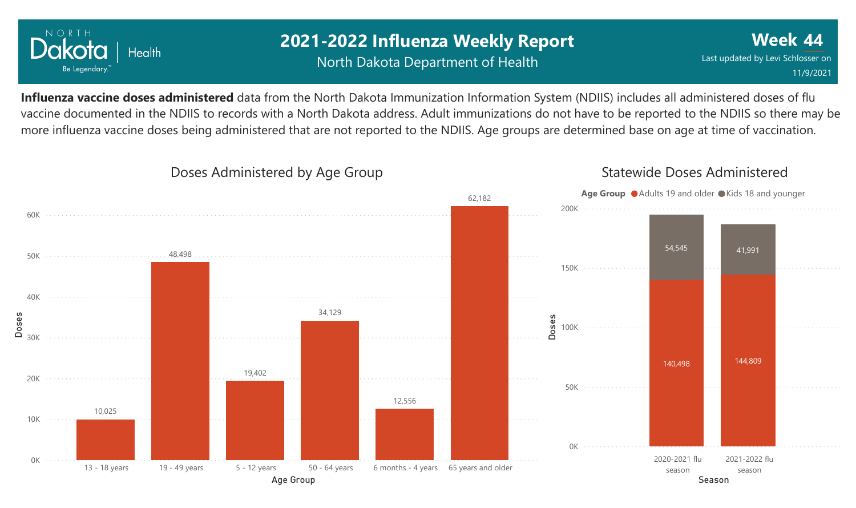

## **2021-2022 Influenza Weekly Report** North Dakota Department of Health

**Week 44** Last updated by Levi Schlosser on 11/9/2021

**Influenza vaccine doses administered** data from the North Dakota Immunization Information System (NDIIS) includes all administered doses of flu vaccine documented in the NDIIS to records with a North Dakota address. Adult immunizations do not have to be reported to the NDIIS so there may be more influenza vaccine doses being administered that are not reported to the NDIIS. Age groups are determined base on age at time of vaccination.



## Doses Administered by Age Group

### Statewide Doses Administered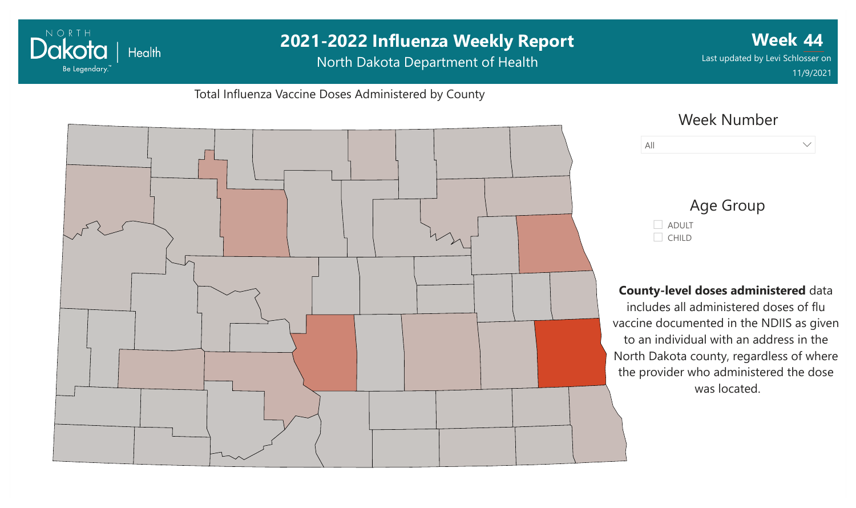# **2021-2022 Influenza Weekly Report Week 44** Dakota | Health Last updated by Levi Schlosser on North Dakota Department of Health Be Legendary. 11/9/2021Total Influenza Vaccine Doses Administered by County Week Number All  $\vee$ Age Group ADULT  $C$ HILD **County-level doses administered** data includes all administered doses of flu vaccine documented in the NDIIS as given to an individual with an address in the North Dakota county, regardless of where the provider who administered the dose was located.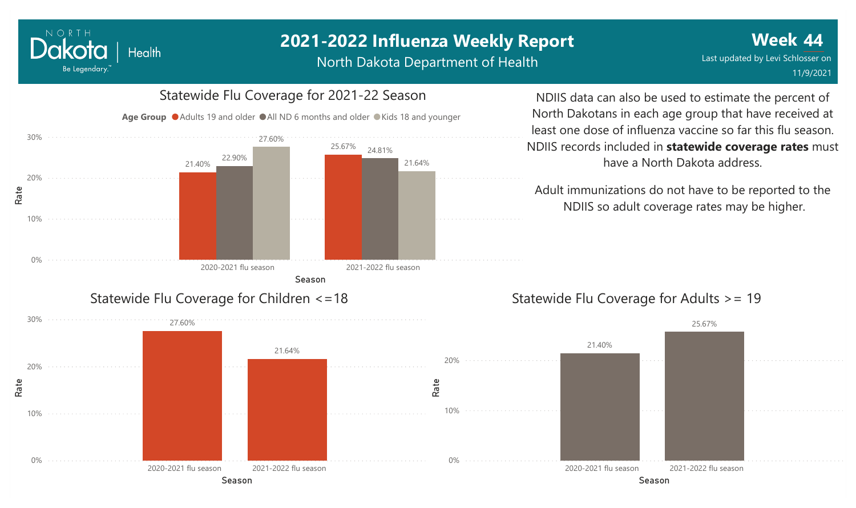North Dakota Department of Health



Dakota

Be Legendary.

Health

NDIIS data can also be used to estimate the percent of North Dakotans in each age group that have received at least one dose of influenza vaccine so far this flu season. NDIIS records included in **statewide coverage rates** must have a North Dakota address.

Adult immunizations do not have to be reported to the NDIIS so adult coverage rates may be higher.

## Statewide Flu Coverage for Adults >= 19